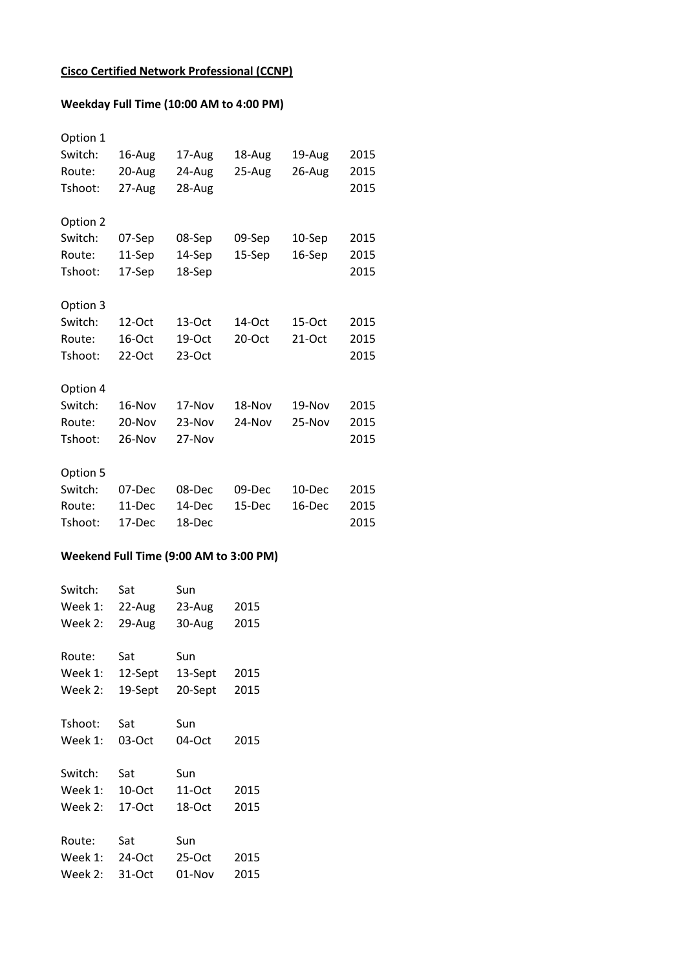## **Cisco Certified Network Professional (CCNP)**

## **Weekday Full Time (10:00 AM to 4:00 PM)**

| 16-Aug   | 17-Aug | 18-Aug    | 19-Aug | 2015 |
|----------|--------|-----------|--------|------|
| 20-Aug   | 24-Aug | 25-Aug    | 26-Aug | 2015 |
| 27-Aug   | 28-Aug |           |        | 2015 |
|          |        |           |        |      |
| 07-Sep   | 08-Sep | 09-Sep    | 10-Sep | 2015 |
| 11-Sep   | 14-Sep | 15-Sep    | 16-Sep | 2015 |
| 17-Sep   | 18-Sep |           |        | 2015 |
|          |        |           |        |      |
| 12-Oct   | 13-Oct | $14$ -Oct | 15-Oct | 2015 |
| 16-Oct   | 19-Oct | $20-Oct$  | 21-Oct | 2015 |
| $22-Oct$ | 23-Oct |           |        | 2015 |
|          |        |           |        |      |
| 16-Nov   | 17-Nov | 18-Nov    | 19-Nov | 2015 |
| 20-Nov   | 23-Nov | 24-Nov    | 25-Nov | 2015 |
| $26-Nov$ | 27-Nov |           |        | 2015 |
|          |        |           |        |      |
| 07-Dec   | 08-Dec | 09-Dec    | 10-Dec | 2015 |
| 11-Dec   | 14-Dec | 15-Dec    | 16-Dec | 2015 |
| 17-Dec   | 18-Dec |           |        | 2015 |
|          |        |           |        |      |

## **Weekend Full Time (9:00 AM to 3:00 PM)**

| Switch: | Sat      | Sun      |      |
|---------|----------|----------|------|
| Week 1: | 22-Aug   | 23-Aug   | 2015 |
| Week 2: | 29-Aug   | 30-Aug   | 2015 |
|         |          |          |      |
| Route:  | Sat      | Sun      |      |
| Week 1: | 12-Sept  | 13-Sept  | 2015 |
| Week 2: | 19-Sept  | 20-Sept  | 2015 |
|         |          |          |      |
| Tshoot: | Sat      | Sun      |      |
| Week 1: | 03-Oct   | 04-Oct   | 2015 |
|         |          |          |      |
| Switch: | Sat      | Sun      |      |
| Week 1: | 10-Oct   | 11-Oct   | 2015 |
| Week 2: | 17-Oct   | 18-Oct   | 2015 |
|         |          |          |      |
| Route:  | Sat      | Sun      |      |
| Week 1: | $24-Oct$ | $25-Oct$ | 2015 |
| Week 2: | 31-Oct   | 01-Nov   | 2015 |